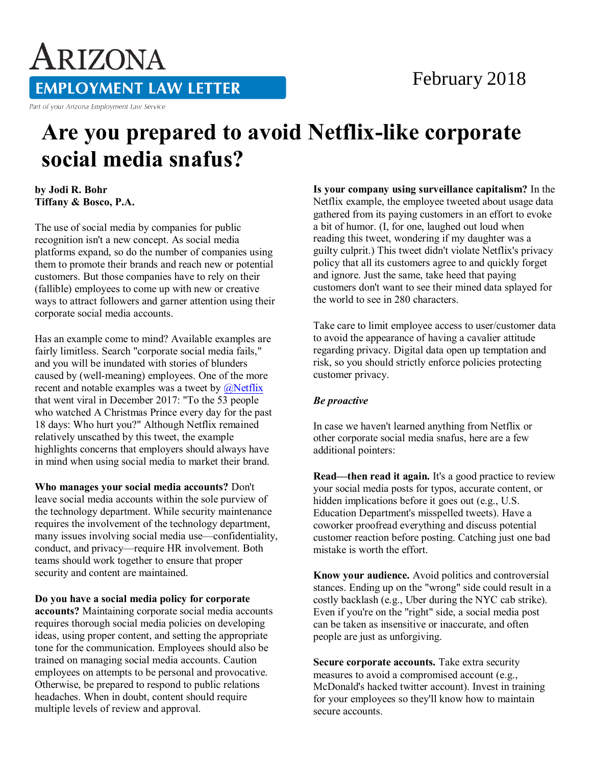## February 2018

## **EMPLOYMENT LAW LETTER**

Part of your Arizona Employment Law Service

ARIZONA

## **Are you prepared to avoid Netflix-like corporate social media snafus?**

**by Jodi R. Bohr Tiffany & Bosco, P.A.** 

The use of social media by companies for public recognition isn't a new concept. As social media platforms expand, so do the number of companies using them to promote their brands and reach new or potential customers. But those companies have to rely on their (fallible) employees to come up with new or creative ways to attract followers and garner attention using their corporate social media accounts.

Has an example come to mind? Available examples are fairly limitless. Search "corporate social media fails," and you will be inundated with stories of blunders caused by (well-meaning) employees. One of the more recent and notable examples was a tweet by  $\omega$ Netflix that went viral in December 2017: "To the 53 people who watched A Christmas Prince every day for the past 18 days: Who hurt you?" Although Netflix remained relatively unscathed by this tweet, the example highlights concerns that employers should always have in mind when using social media to market their brand.

**Who manages your social media accounts?** Don't leave social media accounts within the sole purview of the technology department. While security maintenance requires the involvement of the technology department, many issues involving social media use—confidentiality, conduct, and privacy—require HR involvement. Both teams should work together to ensure that proper security and content are maintained.

**Do you have a social media policy for corporate accounts?** Maintaining corporate social media accounts requires thorough social media policies on developing ideas, using proper content, and setting the appropriate tone for the communication. Employees should also be trained on managing social media accounts. Caution employees on attempts to be personal and provocative. Otherwise, be prepared to respond to public relations headaches. When in doubt, content should require multiple levels of review and approval.

**Is your company using surveillance capitalism?** In the Netflix example, the employee tweeted about usage data gathered from its paying customers in an effort to evoke a bit of humor. (I, for one, laughed out loud when reading this tweet, wondering if my daughter was a guilty culprit.) This tweet didn't violate Netflix's privacy policy that all its customers agree to and quickly forget and ignore. Just the same, take heed that paying customers don't want to see their mined data splayed for the world to see in 280 characters.

Take care to limit employee access to user/customer data to avoid the appearance of having a cavalier attitude regarding privacy. Digital data open up temptation and risk, so you should strictly enforce policies protecting customer privacy.

## *Be proactive*

In case we haven't learned anything from Netflix or other corporate social media snafus, here are a few additional pointers:

**Read—then read it again.** It's a good practice to review your social media posts for typos, accurate content, or hidden implications before it goes out (e.g., U.S. Education Department's misspelled tweets). Have a coworker proofread everything and discuss potential customer reaction before posting. Catching just one bad mistake is worth the effort.

**Know your audience.** Avoid politics and controversial stances. Ending up on the "wrong" side could result in a costly backlash (e.g., Uber during the NYC cab strike). Even if you're on the "right" side, a social media post can be taken as insensitive or inaccurate, and often people are just as unforgiving.

**Secure corporate accounts.** Take extra security measures to avoid a compromised account (e.g., McDonald's hacked twitter account). Invest in training for your employees so they'll know how to maintain secure accounts.